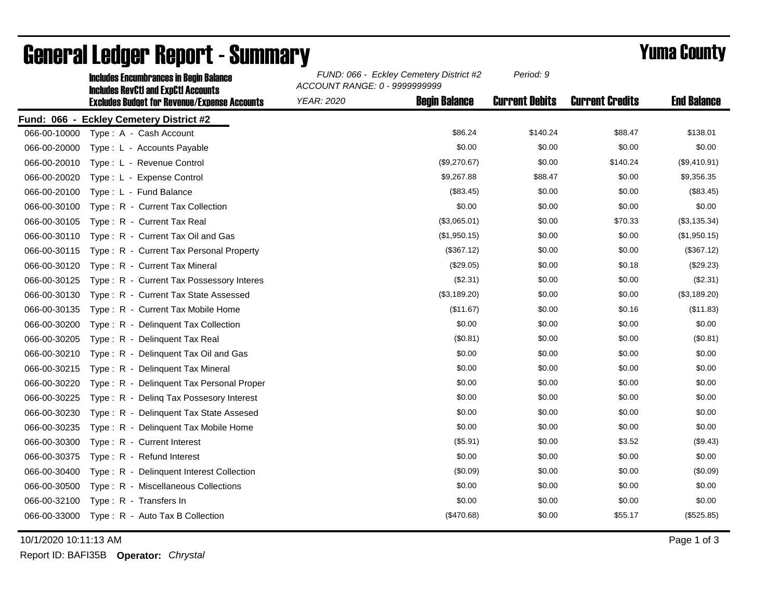|              | <b>Includes Encumbrances in Begin Balance</b><br><b>Includes RevCtI and ExpCtI Accounts</b><br><b>Excludes Budget for Revenue/Expense Accounts</b> | FUND: 066 - Eckley Cemetery District #2<br>ACCOUNT RANGE: 0 - 9999999999 |                      | Period: 9             |                        |                    |
|--------------|----------------------------------------------------------------------------------------------------------------------------------------------------|--------------------------------------------------------------------------|----------------------|-----------------------|------------------------|--------------------|
|              |                                                                                                                                                    | <b>YEAR: 2020</b>                                                        | <b>Begin Balance</b> | <b>Current Debits</b> | <b>Current Credits</b> | <b>End Balance</b> |
|              | Fund: 066 - Eckley Cemetery District #2                                                                                                            |                                                                          |                      |                       |                        |                    |
| 066-00-10000 | Type: A - Cash Account                                                                                                                             |                                                                          | \$86.24              | \$140.24              | \$88.47                | \$138.01           |
| 066-00-20000 | Type: L - Accounts Payable                                                                                                                         |                                                                          | \$0.00               | \$0.00                | \$0.00                 | \$0.00             |
| 066-00-20010 | Type: L - Revenue Control                                                                                                                          |                                                                          | (\$9,270.67)         | \$0.00                | \$140.24               | (\$9,410.91)       |
| 066-00-20020 | Type: L - Expense Control                                                                                                                          |                                                                          | \$9,267.88           | \$88.47               | \$0.00                 | \$9,356.35         |
| 066-00-20100 | Type: L - Fund Balance                                                                                                                             |                                                                          | (\$83.45)            | \$0.00                | \$0.00                 | (\$83.45)          |
| 066-00-30100 | Type: R - Current Tax Collection                                                                                                                   |                                                                          | \$0.00               | \$0.00                | \$0.00                 | \$0.00             |
| 066-00-30105 | Type: R - Current Tax Real                                                                                                                         |                                                                          | (\$3,065.01)         | \$0.00                | \$70.33                | (\$3,135.34)       |
| 066-00-30110 | Type: R - Current Tax Oil and Gas                                                                                                                  |                                                                          | (\$1,950.15)         | \$0.00                | \$0.00                 | (\$1,950.15)       |
| 066-00-30115 | Type: R - Current Tax Personal Property                                                                                                            |                                                                          | (\$367.12)           | \$0.00                | \$0.00                 | (\$367.12)         |
| 066-00-30120 | Type: R - Current Tax Mineral                                                                                                                      |                                                                          | (\$29.05)            | \$0.00                | \$0.18                 | (\$29.23)          |
| 066-00-30125 | Type: R - Current Tax Possessory Interes                                                                                                           |                                                                          | (\$2.31)             | \$0.00                | \$0.00                 | (\$2.31)           |
| 066-00-30130 | Type: R - Current Tax State Assessed                                                                                                               |                                                                          | (\$3,189.20)         | \$0.00                | \$0.00                 | (\$3,189.20)       |
| 066-00-30135 | Type: R - Current Tax Mobile Home                                                                                                                  |                                                                          | (\$11.67)            | \$0.00                | \$0.16                 | (\$11.83)          |
| 066-00-30200 | Type: R - Delinquent Tax Collection                                                                                                                |                                                                          | \$0.00               | \$0.00                | \$0.00                 | \$0.00             |
| 066-00-30205 | Type: R - Delinquent Tax Real                                                                                                                      |                                                                          | (\$0.81)             | \$0.00                | \$0.00                 | (\$0.81)           |
| 066-00-30210 | Type: R - Delinquent Tax Oil and Gas                                                                                                               |                                                                          | \$0.00               | \$0.00                | \$0.00                 | \$0.00             |
| 066-00-30215 | Type: R - Delinquent Tax Mineral                                                                                                                   |                                                                          | \$0.00               | \$0.00                | \$0.00                 | \$0.00             |
| 066-00-30220 | Type: R - Delinquent Tax Personal Proper                                                                                                           |                                                                          | \$0.00               | \$0.00                | \$0.00                 | \$0.00             |
| 066-00-30225 | Type: R - Deling Tax Possesory Interest                                                                                                            |                                                                          | \$0.00               | \$0.00                | \$0.00                 | \$0.00             |
| 066-00-30230 | Type: R - Delinquent Tax State Assesed                                                                                                             |                                                                          | \$0.00               | \$0.00                | \$0.00                 | \$0.00             |
| 066-00-30235 | Type: R - Delinquent Tax Mobile Home                                                                                                               |                                                                          | \$0.00               | \$0.00                | \$0.00                 | \$0.00             |
| 066-00-30300 | Type: R - Current Interest                                                                                                                         |                                                                          | (\$5.91)             | \$0.00                | \$3.52                 | (\$9.43)           |
| 066-00-30375 | Type: R - Refund Interest                                                                                                                          |                                                                          | \$0.00               | \$0.00                | \$0.00                 | \$0.00             |
| 066-00-30400 | Type: R - Delinquent Interest Collection                                                                                                           |                                                                          | (\$0.09)             | \$0.00                | \$0.00                 | (\$0.09)           |
| 066-00-30500 | Type: R - Miscellaneous Collections                                                                                                                |                                                                          | \$0.00               | \$0.00                | \$0.00                 | \$0.00             |
| 066-00-32100 | Type: R - Transfers In                                                                                                                             |                                                                          | \$0.00               | \$0.00                | \$0.00                 | \$0.00             |
| 066-00-33000 | Type: R - Auto Tax B Collection                                                                                                                    |                                                                          | (\$470.68)           | \$0.00                | \$55.17                | (\$525.85)         |

## General Ledger Report - Summary **Example 2018** Yuma County

10/1/2020 10:11:13 AM Page 1 of 3

Report ID: BAFI35B **Operator:** *Chrystal*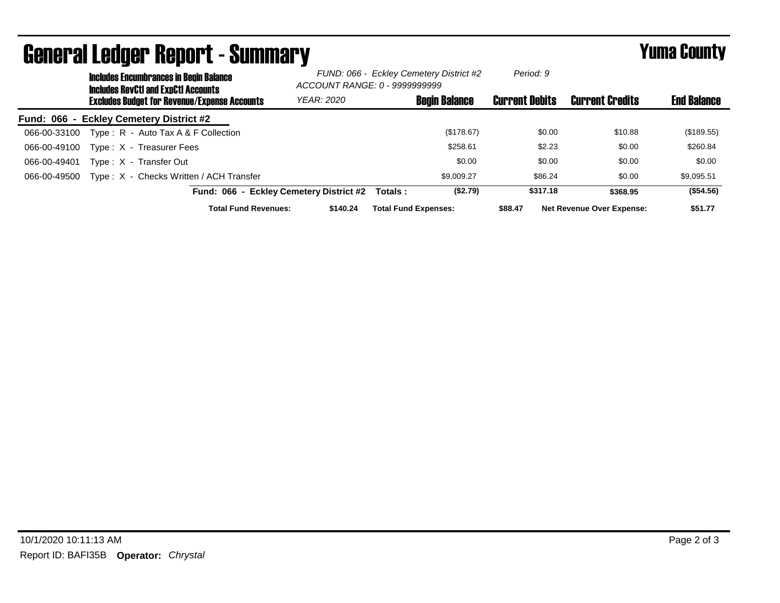| <u>uvilvi ul Lvuyvi Tivpol te vulillilui y</u><br><b>Includes Encumbrances in Begin Balance</b><br><b>Includes RevCtI and ExpCtI Accounts</b> | FUND: 066 - Eckley Cemetery District #2<br>ACCOUNT RANGE: 0 - 9999999999 |                             | Period: 9             |                                  |                    |
|-----------------------------------------------------------------------------------------------------------------------------------------------|--------------------------------------------------------------------------|-----------------------------|-----------------------|----------------------------------|--------------------|
| <b>Excludes Budget for Revenue/Expense Accounts</b>                                                                                           | YEAR: 2020                                                               | <b>Begin Balance</b>        | <b>Current Debits</b> | <b>Current Credits</b>           | <b>End Balance</b> |
| Fund: 066 - Eckley Cemetery District #2                                                                                                       |                                                                          |                             |                       |                                  |                    |
| Type: $R -$ Auto Tax A & F Collection<br>066-00-33100                                                                                         |                                                                          | (\$178.67)                  | \$0.00                | \$10.88                          | (\$189.55)         |
| Type: X - Treasurer Fees<br>066-00-49100                                                                                                      |                                                                          | \$258.61                    | \$2.23                | \$0.00                           | \$260.84           |
| 066-00-49401<br>Type: X - Transfer Out                                                                                                        |                                                                          | \$0.00                      | \$0.00                | \$0.00                           | \$0.00             |
| Type: X - Checks Written / ACH Transfer<br>066-00-49500                                                                                       |                                                                          | \$9.009.27                  | \$86.24               | \$0.00                           | \$9,095.51         |
| Fund: 066 - Eckley Cemetery District #2                                                                                                       |                                                                          | (\$2.79)<br>Totals :        | \$317.18              | \$368.95                         | (\$54.56)          |
| <b>Total Fund Revenues:</b>                                                                                                                   | \$140.24                                                                 | <b>Total Fund Expenses:</b> | \$88.47               | <b>Net Revenue Over Expense:</b> | \$51.77            |

## General Ledger Report - Summary Yuma County